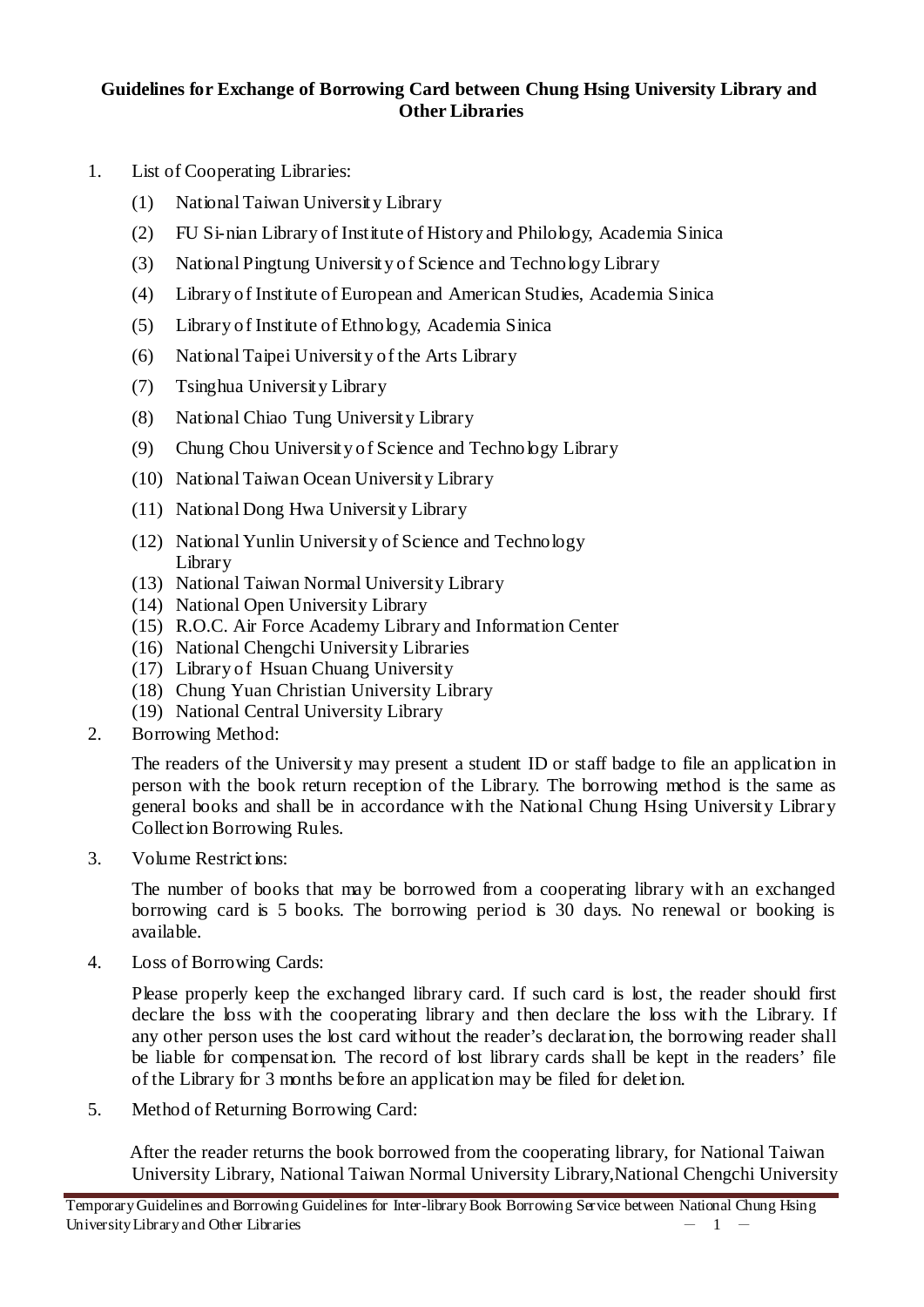## **Guidelines for Exchange of Borrowing Card between Chung Hsing University Library and Other Libraries**

- 1. List of Cooperating Libraries:
	- (1) National Taiwan University Library
	- (2) FU Si-nian Library of Institute of History and Philology, Academia Sinica
	- (3) National Pingtung University of Science and Technology Library
	- (4) Library of Institute of European and American Studies, Academia Sinica
	- (5) Library of Institute of Ethnology, Academia Sinica
	- (6) National Taipei University of the Arts Library
	- (7) Tsinghua University Library
	- (8) National Chiao Tung University Library
	- (9) Chung Chou University of Science and Technology Library
	- (10) National Taiwan Ocean University Library
	- (11) National Dong Hwa University Library
	- (12) National Yunlin University of Science and Technology Library
	- (13) National Taiwan Normal University Library
	- (14) National Open University Library
	- (15) R.O.C. Air Force Academy Library and Information Center
	- (16) National Chengchi University Libraries
	- (17) Library of Hsuan Chuang University
	- (18) Chung Yuan Christian University Library
	- (19) National Central University Library
- 2. Borrowing Method:

The readers of the University may present a student ID or staff badge to file an application in person with the book return reception of the Library. The borrowing method is the same as general books and shall be in accordance with the National Chung Hsing University Library Collection Borrowing Rules.

3. Volume Restrictions:

The number of books that may be borrowed from a cooperating library with an exchanged borrowing card is 5 books. The borrowing period is 30 days. No renewal or booking is available.

4. Loss of Borrowing Cards:

Please properly keep the exchanged library card. If such card is lost, the reader should first declare the loss with the cooperating library and then declare the loss with the Library. If any other person uses the lost card without the reader's declaration, the borrowing reader shall be liable for compensation. The record of lost library cards shall be kept in the readers' file of the Library for 3 months before an application may be filed for deletion.

5. Method of Returning Borrowing Card:

After the reader returns the book borrowed from the cooperating library, for National Taiwan University Library, National Taiwan Normal University Library,National Chengchi University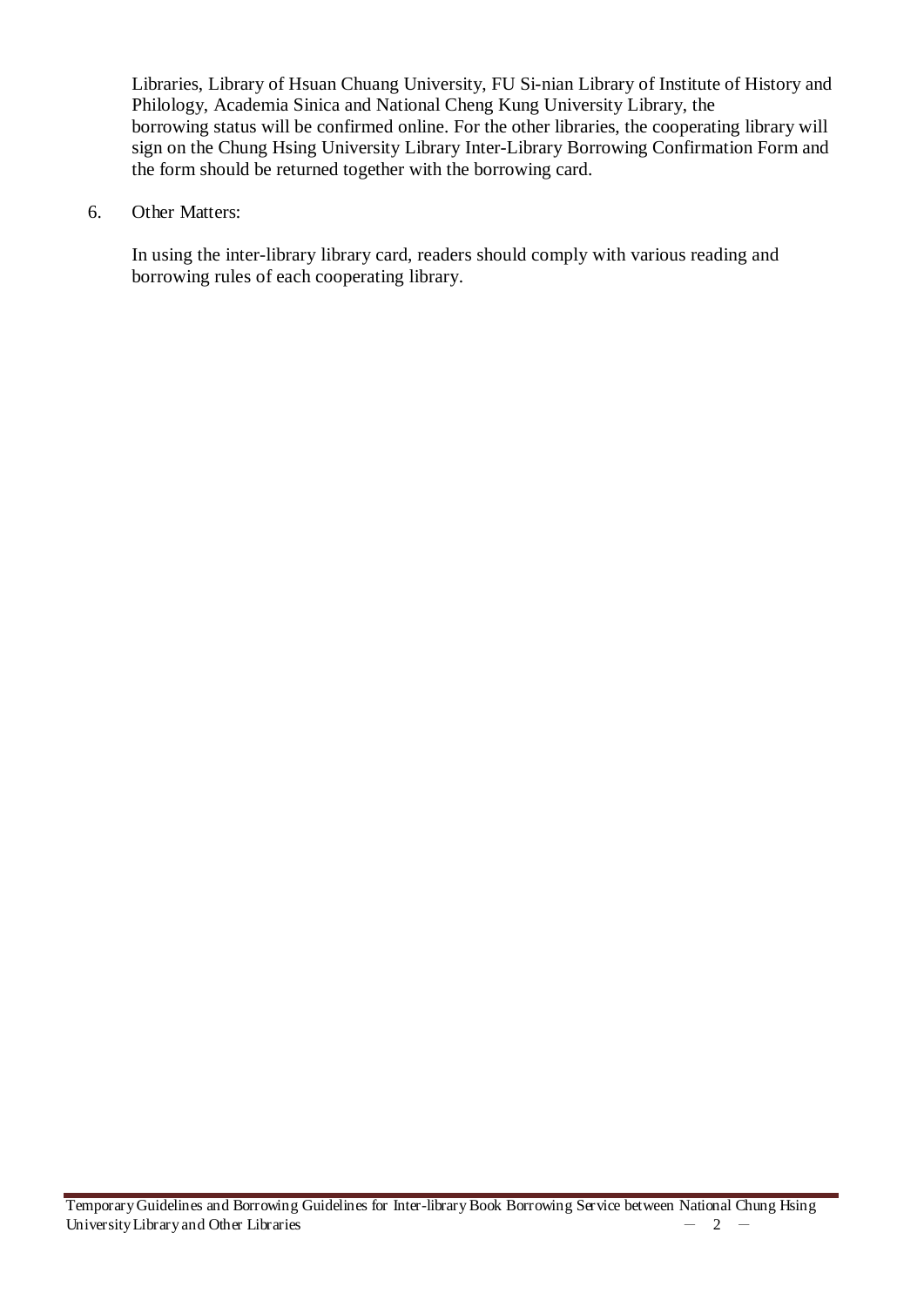Libraries, Library of Hsuan Chuang University, FU Si-nian Library of Institute of History and Philology, Academia Sinica and National Cheng Kung University Library, the borrowing status will be confirmed online. For the other libraries, the cooperating library will sign on the Chung Hsing University Library Inter-Library Borrowing Confirmation Form and the form should be returned together with the borrowing card.

6. Other Matters:

In using the inter-library library card, readers should comply with various reading and borrowing rules of each cooperating library.